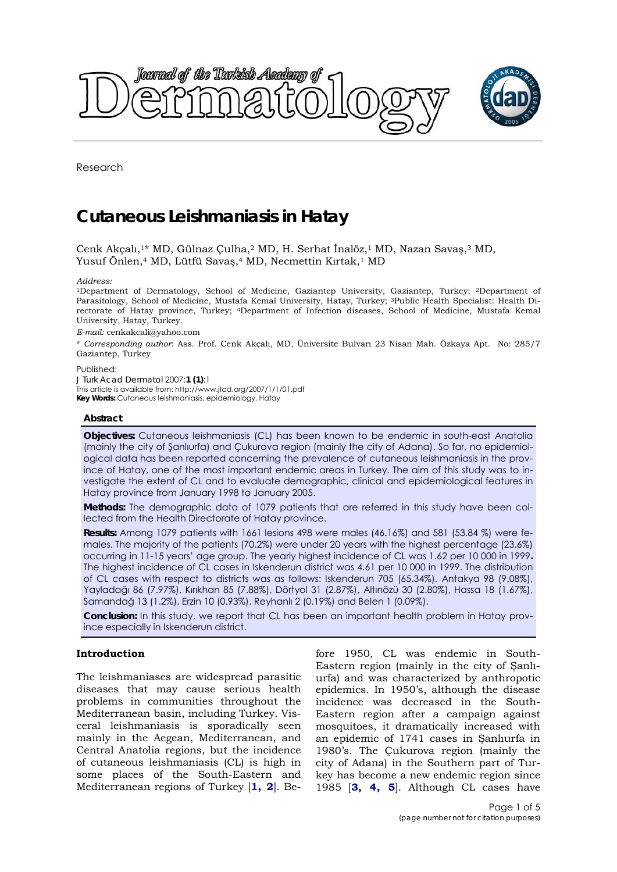<span id="page-0-0"></span>

Research

# **Cutaneous Leishmaniasis in Hatay**

Cenk Akçalı,1\* MD, Gülnaz Çulha,2 MD, H. Serhat İnalöz,1 MD, Nazan Savaş,3 MD, Yusuf Önlen,<sup>4</sup> MD, Lütfü Savaş,<sup>4</sup> MD, Necmettin Kırtak,<sup>1</sup> MD

#### *Address:*

1Department of Dermatology, School of Medicine, Gaziantep University, Gaziantep, Turkey; 2Department of Parasitology, School of Medicine, Mustafa Kemal University, Hatay, Turkey; 3Public Health Specialist: Health Directorate of Hatay province, Turkey; 4Department of Infection diseases, School of Medicine, Mustafa Kemal University, Hatay, Turkey.

*E-mail:* cenkakcali@yahoo.com

\* *Corresponding author*: Ass. Prof. Cenk Akçalı, MD, Üniversite Bulvarı 23 Nisan Mah. Özkaya Apt. No: 285/7 Gaziantep, Turkey

Published:

*J Turk Acad Dermatol* 2007;**1 (1)**:1 This article is available from: http://www.jtad.org/2007/1/1/01.pdf **Key Words:** Cutaneous leishmaniasis, epidemiology, Hatay

### **Abstract**

**Objectives:** Cutaneous leishmaniasis (CL) has been known to be endemic in south-east Anatolia (mainly the city of Şanlıurfa) and Çukurova region (mainly the city of Adana). So far, no epidemiological data has been reported concerning the prevalence of cutaneous leishmaniasis in the province of Hatay, one of the most important endemic areas in Turkey. The aim of this study was to investigate the extent of CL and to evaluate demographic, clinical and epidemiological features in Hatay province from January 1998 to January 2005.

**Methods:** The demographic data of 1079 patients that are referred in this study have been collected from the Health Directorate of Hatay province.

**Results:** Among 1079 patients with 1661 lesions 498 were males (46.16%) and 581 (53.84 %) were females. The majority of the patients (70.2%) were under 20 years with the highest percentage (23.6%) occurring in 11-15 years' age group. The yearly highest incidence of CL was 1.62 per 10 000 in 1999**.**  The highest incidence of CL cases in Iskenderun district was 4.61 per 10 000 in 1999. The distribution of CL cases with respect to districts was as follows: Iskenderun 705 (65.34%), Antakya 98 (9.08%), Yayladağı 86 (7.97%), Kırıkhan 85 (7.88%), Dörtyol 31 (2.87%), Altınözü 30 (2.80%), Hassa 18 (1.67%), Samandağ 13 (1.2%), Erzin 10 (0.93%), Reyhanlı 2 (0.19%) and Belen 1 (0.09%).

**Conclusion:** In this study, we report that CL has been an important health problem in Hatay province especially in Iskenderun district.

# **Introduction**

The leishmaniases are widespread parasitic diseases that may cause serious health problems in communities throughout the Mediterranean basin, including Turkey. Visceral leishmaniasis is sporadically seen mainly in the Aegean, Mediterranean, and Central Anatolia regions, but the incidence of cutaneous leishmaniasis (CL) is high in some places of the South-Eastern and Mediterranean regions of Turkey [**[1, 2](#page-4-0)**]. Before 1950, CL was endemic in South-Eastern region (mainly in the city of Şanlıurfa) and was characterized by anthropotic epidemics. In 1950's, although the disease incidence was decreased in the South-Eastern region after a campaign against mosquitoes, it dramatically increased with an epidemic of 1741 cases in Şanlıurfa in 1980's. The Çukurova region (mainly the city of Adana) in the Southern part of Turkey has become a new endemic region since 1985 [**[3, 4, 5](#page-4-0)**]. Although CL cases have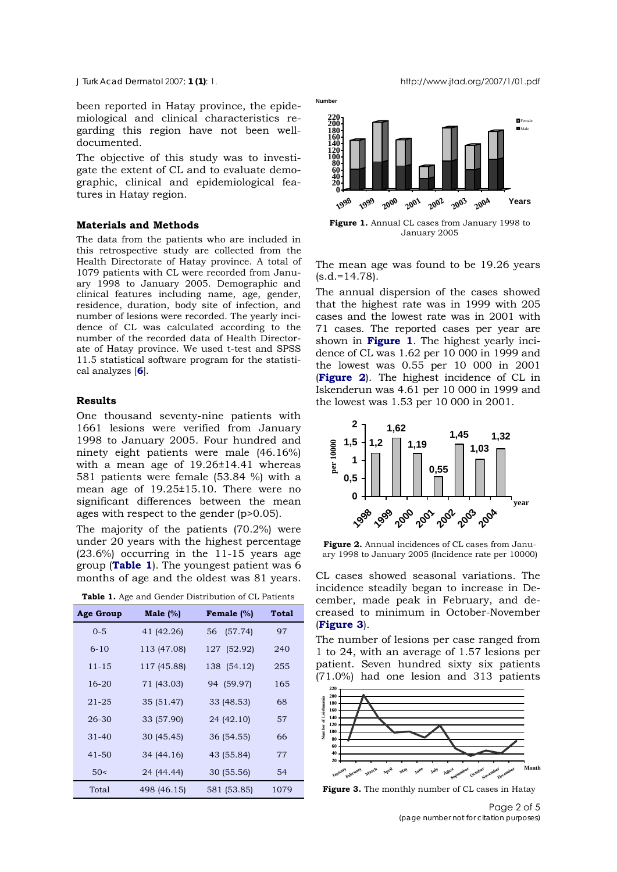<span id="page-1-0"></span>been reported in Hatay province, the epidemiological and clinical characteristics regarding this region have not been welldocumented.

The objective of this study was to investigate the extent of CL and to evaluate demographic, clinical and epidemiological features in Hatay region.

### **Materials and Methods**

The data from the patients who are included in this retrospective study are collected from the Health Directorate of Hatay province. A total of 1079 patients with CL were recorded from January 1998 to January 2005. Demographic and clinical features including name, age, gender, residence, duration, body site of infection, and number of lesions were recorded. The yearly incidence of CL was calculated according to the number of the recorded data of Health Directorate of Hatay province. We used t-test and SPSS 11.5 statistical software program for the statistical analyzes [**[6](#page-4-0)**].

## **Results**

One thousand seventy-nine patients with 1661 lesions were verified from January 1998 to January 2005. Four hundred and ninety eight patients were male (46.16%) with a mean age of 19.26±14.41 whereas 581 patients were female (53.84 %) with a mean age of 19.25±15.10. There were no significant differences between the mean ages with respect to the gender (p>0.05).

The majority of the patients (70.2%) were under 20 years with the highest percentage (23.6%) occurring in the 11-15 years age group (**Table 1**). The youngest patient was 6 months of age and the oldest was 81 years.

| <b>Table 1.</b> Age and Gender Distribution of CL Patients |
|------------------------------------------------------------|
|------------------------------------------------------------|

| <b>Age Group</b> | Male $(\%)$ | Female (%)  | Total |  |
|------------------|-------------|-------------|-------|--|
| $0 - 5$          | 41 (42.26)  | 56 (57.74)  | 97    |  |
| $6 - 10$         | 113 (47.08) | 127 (52.92) | 240   |  |
| $11 - 15$        | 117 (45.88) | 138 (54.12) | 255   |  |
| $16 - 20$        | 71 (43.03)  | 94 (59.97)  | 165   |  |
| $21 - 25$        | 35 (51.47)  | 33 (48.53)  | 68    |  |
| 26-30            | 33 (57.90)  | 24 (42.10)  | 57    |  |
| $31 - 40$        | 30 (45.45)  | 36 (54.55)  | 66    |  |
| $41 - 50$        | 34 (44.16)  | 43 (55.84)  | 77    |  |
| 50<              | 24 (44.44)  | 30 (55.56)  | 54    |  |
| Total            | 498 (46.15) | 581 (53.85) | 1079  |  |



The mean age was found to be 19.26 years  $(s.d.=14.78)$ .

The annual dispersion of the cases showed that the highest rate was in 1999 with 205 cases and the lowest rate was in 2001 with 71 cases. The reported cases per year are shown in **Figure 1**. The highest yearly incidence of CL was 1.62 per 10 000 in 1999 and the lowest was 0.55 per 10 000 in 2001 (**Figure 2**). The highest incidence of CL in Iskenderun was 4.61 per 10 000 in 1999 and the lowest was 1.53 per 10 000 in 2001.



**Figure 2.** Annual incidences of CL cases from January 1998 to January 2005 (Incidence rate per 10000)

CL cases showed seasonal variations. The incidence steadily began to increase in December, made peak in February, and decreased to minimum in October-November (**Figure 3**).

The number of lesions per case ranged from 1 to 24, with an average of 1.57 lesions per patient. Seven hundred sixty six patients (71.0%) had one lesion and 313 patients



Figure 3. The monthly number of CL cases in Hatay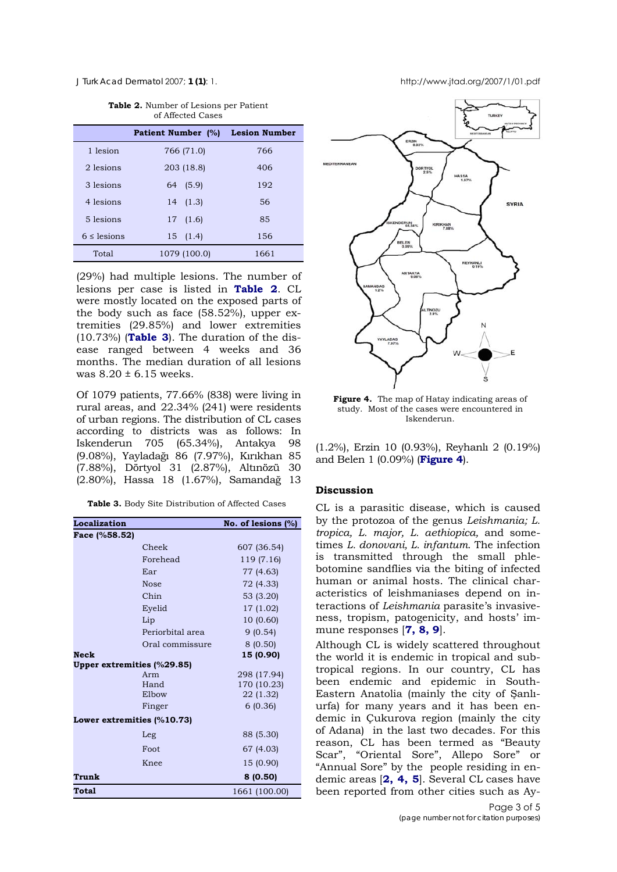**Table 2.** Number of Lesions per Patient of Affected Cases

|  |                  | <b>Patient Number (%)</b> | <b>Lesion Number</b> |
|--|------------------|---------------------------|----------------------|
|  | 1 lesion         | 766 (71.0)                | 766                  |
|  | 2 lesions        | 203 (18.8)                | 406                  |
|  | 3 lesions        | 64 (5.9)                  | 192                  |
|  | 4 lesions        | 14(1.3)                   | 56                   |
|  | 5 lesions        | (1.6)<br>17               | 85                   |
|  | $6 \leq$ lesions | 15(1.4)                   | 156                  |
|  | Total            | 1079 (100.0)              | 1661                 |

(29%) had multiple lesions. The number of lesions per case is listed in **Table 2**. CL were mostly located on the exposed parts of the body such as face (58.52%), upper extremities (29.85%) and lower extremities (10.73%) (**Table 3**). The duration of the disease ranged between 4 weeks and 36 months. The median duration of all lesions was  $8.20 \pm 6.15$  weeks.

Of 1079 patients, 77.66% (838) were living in rural areas, and 22.34% (241) were residents of urban regions. The distribution of CL cases according to districts was as follows: In Iskenderun 705 (65.34%), Antakya 98 (9.08%), Yayladağı 86 (7.97%), Kırıkhan 85 (7.88%), Dörtyol 31 (2.87%), Altınözü 30 (2.80%), Hassa 18 (1.67%), Samandağ 13

**Table 3.** Body Site Distribution of Affected Cases

| Localization                 |                  | No. of lesions $(\%)$ |  |  |
|------------------------------|------------------|-----------------------|--|--|
| Face (%58.52)                |                  |                       |  |  |
|                              | Cheek            | 607 (36.54)           |  |  |
|                              | Forehead         | 119 (7.16)            |  |  |
|                              | Ear              | 77 (4.63)             |  |  |
|                              | <b>Nose</b>      | 72 (4.33)             |  |  |
|                              | Chin             | 53 (3.20)             |  |  |
|                              | Eyelid           | 17 (1.02)             |  |  |
|                              | Lip              | 10 (0.60)             |  |  |
|                              | Periorbital area | 9(0.54)               |  |  |
|                              | Oral commissure  | 8(0.50)               |  |  |
| <b>Neck</b>                  |                  | 15 (0.90)             |  |  |
| Upper extremities (%29.85)   |                  |                       |  |  |
|                              | Arm              | 298 (17.94)           |  |  |
|                              | Hand             | 170 (10.23)           |  |  |
|                              | Elbow            | 22 (1.32)             |  |  |
|                              | Finger           | 6(0.36)               |  |  |
| Lower extremities $(%10.73)$ |                  |                       |  |  |
|                              | Leg              | 88 (5.30)             |  |  |
|                              | Foot             | 67 (4.03)             |  |  |
|                              | Knee             | 15 (0.90)             |  |  |
| Trunk                        |                  | 8(0.50)               |  |  |
| Total                        |                  | 1661 (100.00)         |  |  |

<span id="page-2-0"></span>*J Turk Acad Dermatol* 2007; **1 (1)**: 1. http://www.jtad.org/2007/1/01.pdf



**Figure 4.** The map of Hatay indicating areas of [study. Most of the cases were encountered in](#page-3-0)  Iskenderun.

(1.2%), Erzin 10 (0.93%), Reyhanlı 2 (0.19%) and Belen 1 (0.09%) (**Figure 4**).

### **Discussion**

CL is a parasitic disease, which is caused by the protozoa of the genus *Leishmania; L. tropica, L. major, L. aethiopica,* and sometimes *L. donovani, L. infantum*. The infection is transmitted through the small phlebotomine sandflies via the biting of infected human or animal hosts. The clinical characteristics of leishmaniases depend on interactions of *Leishmania* parasite's invasiveness, tropism, patogenicity, and hosts' immune responses [**[7, 8, 9](#page-4-0)**].

Although CL is widely scattered throughout the world it is endemic in tropical and subtropical regions. In our country, CL has been endemic and epidemic in South-Eastern Anatolia (mainly the city of Şanlıurfa) for many years and it has been endemic in Çukurova region (mainly the city of Adana) in the last two decades. For this reason, CL has been termed as "Beauty Scar", "Oriental Sore", Allepo Sore" or "Annual Sore" by the people residing in endemic areas [**[2, 4, 5](#page-4-0)**]. Several CL cases have been reported from other cities such as Ay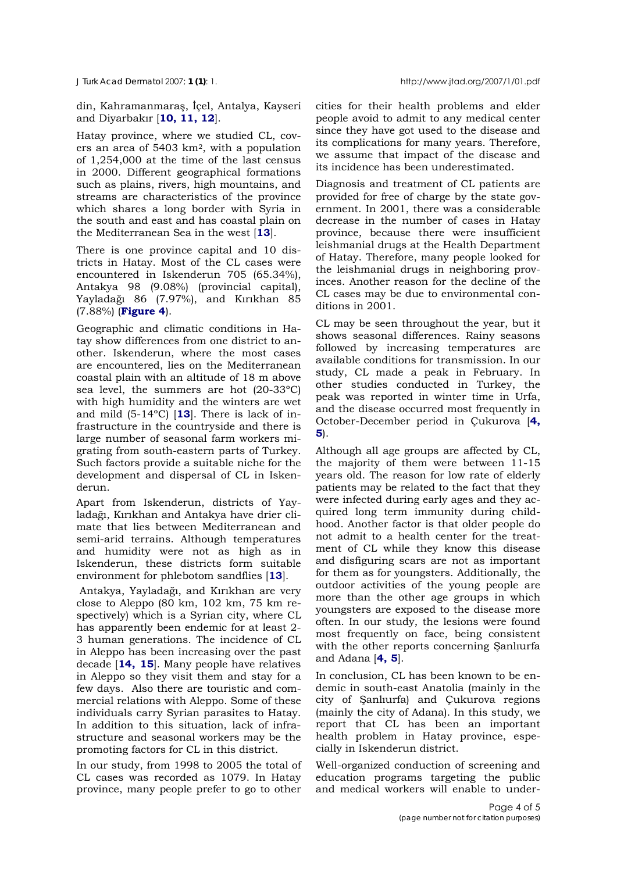<span id="page-3-0"></span>*J Turk Acad Dermatol* 2007; **1 (1)**: 1. http://www.jtad.org/2007/1/01.pdf

din, Kahramanmaraş, İçel, Antalya, Kayseri and Diyarbakır [**[10, 11, 12](#page-4-0)**].

Hatay province, where we studied CL, covers an area of 5403 km2, with a population of 1,254,000 at the time of the last census in 2000. Different geographical formations such as plains, rivers, high mountains, and streams are characteristics of the province which shares a long border with Syria in the south and east and has coastal plain on the Mediterranean Sea in the west [**[13](#page-4-0)**].

There is one province capital and 10 districts in Hatay. Most of the CL cases were encountered in Iskenderun 705 (65.34%), Antakya 98 (9.08%) (provincial capital), Yayladağı 86 (7.97%), and Kırıkhan 85 (7.88%) (**[Figure 4](#page-2-0)**).

Geographic and climatic conditions in Hatay show differences from one district to another. Iskenderun, where the most cases are encountered, lies on the Mediterranean coastal plain with an altitude of 18 m above sea level, the summers are hot (20-33ºC) with high humidity and the winters are wet and mild (5-14ºC) [**[13](#page-4-0)**]. There is lack of infrastructure in the countryside and there is large number of seasonal farm workers migrating from south-eastern parts of Turkey. Such factors provide a suitable niche for the development and dispersal of CL in Iskenderun.

Apart from Iskenderun, districts of Yayladağı, Kırıkhan and Antakya have drier climate that lies between Mediterranean and semi-arid terrains. Although temperatures and humidity were not as high as in Iskenderun, these districts form suitable environment for phlebotom sandflies [**13**].

 Antakya, Yayladağı, and Kırıkhan are very close to Aleppo (80 km, 102 km, 75 km respectively) which is a Syrian city, where CL has apparently been endemic for at least 2- 3 human generations. The incidence of CL in Aleppo has been increasing over the past decade [**[14, 15](#page-4-0)**]. Many people have relatives in Aleppo so they visit them and stay for a few days. Also there are touristic and commercial relations with Aleppo. Some of these individuals carry Syrian parasites to Hatay. In addition to this situation, lack of infrastructure and seasonal workers may be the promoting factors for CL in this district.

In our study, from 1998 to 2005 the total of CL cases was recorded as 1079. In Hatay province, many people prefer to go to other

cities for their health problems and elder people avoid to admit to any medical center since they have got used to the disease and its complications for many years. Therefore, we assume that impact of the disease and its incidence has been underestimated.

Diagnosis and treatment of CL patients are provided for free of charge by the state government. In 2001, there was a considerable decrease in the number of cases in Hatay province, because there were insufficient leishmanial drugs at the Health Department of Hatay. Therefore, many people looked for the leishmanial drugs in neighboring provinces. Another reason for the decline of the CL cases may be due to environmental conditions in 2001.

CL may be seen throughout the year, but it shows seasonal differences. Rainy seasons followed by increasing temperatures are available conditions for transmission. In our study, CL made a peak in February. In other studies conducted in Turkey, the peak was reported in winter time in Urfa, and the disease occurred most frequently in October-December period in Çukurova [**[4,](#page-4-0)  5**[\).](#page-4-0) 

Although all age groups are affected by CL, the majority of them were between 11-15 years old. The reason for low rate of elderly patients may be related to the fact that they were infected during early ages and they acquired long term immunity during childhood. Another factor is that older people do not admit to a health center for the treatment of CL while they know this disease and disfiguring scars are not as important for them as for youngsters. Additionally, the outdoor activities of the young people are more than the other age groups in which youngsters are exposed to the disease more often. In our study, the lesions were found most frequently on face, being consistent with the other reports concerning Şanlıurfa and Adana [**[4, 5](#page-4-0)**].

In conclusion, CL has been known to be endemic in south-east Anatolia (mainly in the city of Şanlıurfa) and Çukurova regions (mainly the city of Adana). In this study, we report that CL has been an important health problem in Hatay province, especially in Iskenderun district.

Well-organized conduction of screening and education programs targeting the public and medical workers will enable to under